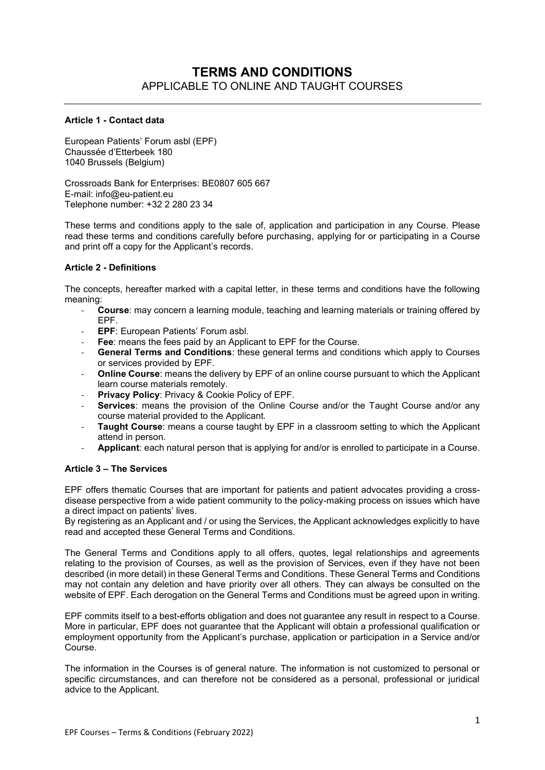# **TERMS AND CONDITIONS**  APPLICABLE TO ONLINE AND TAUGHT COURSES

## **Article 1 - Contact data**

European Patients' Forum asbl (EPF) Chaussée d'Etterbeek 180 1040 Brussels (Belgium)

Crossroads Bank for Enterprises: BE0807 605 667 E-mail: info@eu-patient.eu Telephone number: +32 2 280 23 34

These terms and conditions apply to the sale of, application and participation in any Course. Please read these terms and conditions carefully before purchasing, applying for or participating in a Course and print off a copy for the Applicant's records.

## **Article 2 - Definitions**

The concepts, hereafter marked with a capital letter, in these terms and conditions have the following meaning:

- **Course**: may concern a learning module, teaching and learning materials or training offered by EPF.
- **EPF**: European Patients' Forum asbl.
- **Fee**: means the fees paid by an Applicant to EPF for the Course.
- General Terms and Conditions: these general terms and conditions which apply to Courses or services provided by EPF.
- **Online Course**: means the delivery by EPF of an online course pursuant to which the Applicant learn course materials remotely.
- Privacy Policy: Privacy & Cookie Policy of EPF.
- **Services**: means the provision of the Online Course and/or the Taught Course and/or any course material provided to the Applicant.
- **Taught Course:** means a course taught by EPF in a classroom setting to which the Applicant attend in person.
- **Applicant**: each natural person that is applying for and/or is enrolled to participate in a Course.

## **Article 3 – The Services**

EPF offers thematic Courses that are important for patients and patient advocates providing a crossdisease perspective from a wide patient community to the policy-making process on issues which have a direct impact on patients' lives.

By registering as an Applicant and / or using the Services, the Applicant acknowledges explicitly to have read and accepted these General Terms and Conditions.

The General Terms and Conditions apply to all offers, quotes, legal relationships and agreements relating to the provision of Courses, as well as the provision of Services, even if they have not been described (in more detail) in these General Terms and Conditions. These General Terms and Conditions may not contain any deletion and have priority over all others. They can always be consulted on the website of EPF. Each derogation on the General Terms and Conditions must be agreed upon in writing.

EPF commits itself to a best-efforts obligation and does not guarantee any result in respect to a Course. More in particular, EPF does not guarantee that the Applicant will obtain a professional qualification or employment opportunity from the Applicant's purchase, application or participation in a Service and/or Course.

The information in the Courses is of general nature. The information is not customized to personal or specific circumstances, and can therefore not be considered as a personal, professional or juridical advice to the Applicant.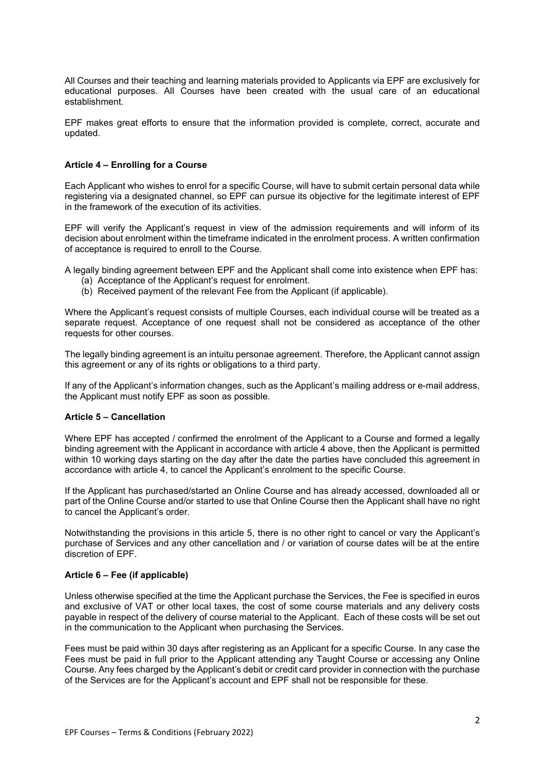All Courses and their teaching and learning materials provided to Applicants via EPF are exclusively for educational purposes. All Courses have been created with the usual care of an educational establishment.

EPF makes great efforts to ensure that the information provided is complete, correct, accurate and updated.

## **Article 4 – Enrolling for a Course**

Each Applicant who wishes to enrol for a specific Course, will have to submit certain personal data while registering via a designated channel, so EPF can pursue its objective for the legitimate interest of EPF in the framework of the execution of its activities.

EPF will verify the Applicant's request in view of the admission requirements and will inform of its decision about enrolment within the timeframe indicated in the enrolment process. A written confirmation of acceptance is required to enroll to the Course.

A legally binding agreement between EPF and the Applicant shall come into existence when EPF has:

- (a) Acceptance of the Applicant's request for enrolment.
- (b) Received payment of the relevant Fee from the Applicant (if applicable).

Where the Applicant's request consists of multiple Courses, each individual course will be treated as a separate request. Acceptance of one request shall not be considered as acceptance of the other requests for other courses.

The legally binding agreement is an intuitu personae agreement. Therefore, the Applicant cannot assign this agreement or any of its rights or obligations to a third party.

If any of the Applicant's information changes, such as the Applicant's mailing address or e-mail address, the Applicant must notify EPF as soon as possible.

## **Article 5 – Cancellation**

Where EPF has accepted / confirmed the enrolment of the Applicant to a Course and formed a legally binding agreement with the Applicant in accordance with article 4 above, then the Applicant is permitted within 10 working days starting on the day after the date the parties have concluded this agreement in accordance with article 4, to cancel the Applicant's enrolment to the specific Course.

If the Applicant has purchased/started an Online Course and has already accessed, downloaded all or part of the Online Course and/or started to use that Online Course then the Applicant shall have no right to cancel the Applicant's order.

Notwithstanding the provisions in this article 5, there is no other right to cancel or vary the Applicant's purchase of Services and any other cancellation and / or variation of course dates will be at the entire discretion of EPF.

### **Article 6 – Fee (if applicable)**

Unless otherwise specified at the time the Applicant purchase the Services, the Fee is specified in euros and exclusive of VAT or other local taxes, the cost of some course materials and any delivery costs payable in respect of the delivery of course material to the Applicant. Each of these costs will be set out in the communication to the Applicant when purchasing the Services.

Fees must be paid within 30 days after registering as an Applicant for a specific Course. In any case the Fees must be paid in full prior to the Applicant attending any Taught Course or accessing any Online Course. Any fees charged by the Applicant's debit or credit card provider in connection with the purchase of the Services are for the Applicant's account and EPF shall not be responsible for these.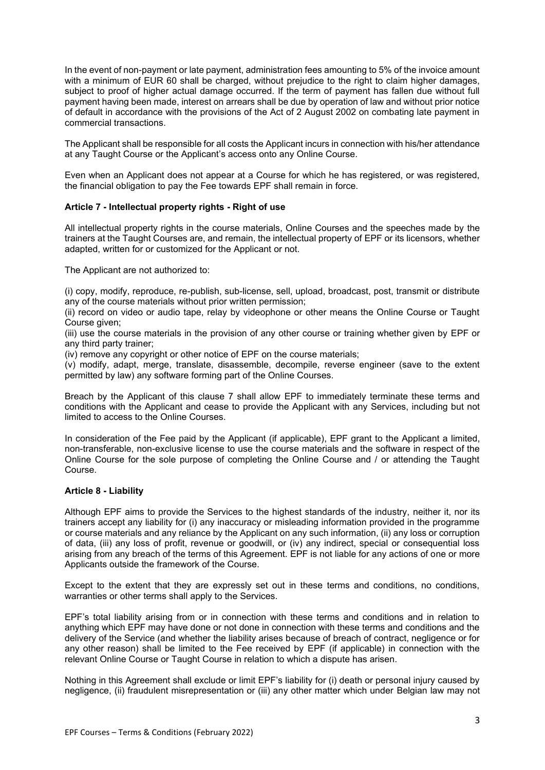In the event of non-payment or late payment, administration fees amounting to 5% of the invoice amount with a minimum of EUR 60 shall be charged, without prejudice to the right to claim higher damages, subject to proof of higher actual damage occurred. If the term of payment has fallen due without full payment having been made, interest on arrears shall be due by operation of law and without prior notice of default in accordance with the provisions of the Act of 2 August 2002 on combating late payment in commercial transactions.

The Applicant shall be responsible for all costs the Applicant incurs in connection with his/her attendance at any Taught Course or the Applicant's access onto any Online Course.

Even when an Applicant does not appear at a Course for which he has registered, or was registered, the financial obligation to pay the Fee towards EPF shall remain in force.

## **Article 7 - Intellectual property rights - Right of use**

All intellectual property rights in the course materials, Online Courses and the speeches made by the trainers at the Taught Courses are, and remain, the intellectual property of EPF or its licensors, whether adapted, written for or customized for the Applicant or not.

The Applicant are not authorized to:

(i) copy, modify, reproduce, re-publish, sub-license, sell, upload, broadcast, post, transmit or distribute any of the course materials without prior written permission;

(ii) record on video or audio tape, relay by videophone or other means the Online Course or Taught Course given;

(iii) use the course materials in the provision of any other course or training whether given by EPF or any third party trainer;

(iv) remove any copyright or other notice of EPF on the course materials;

(v) modify, adapt, merge, translate, disassemble, decompile, reverse engineer (save to the extent permitted by law) any software forming part of the Online Courses.

Breach by the Applicant of this clause 7 shall allow EPF to immediately terminate these terms and conditions with the Applicant and cease to provide the Applicant with any Services, including but not limited to access to the Online Courses.

In consideration of the Fee paid by the Applicant (if applicable), EPF grant to the Applicant a limited, non-transferable, non-exclusive license to use the course materials and the software in respect of the Online Course for the sole purpose of completing the Online Course and / or attending the Taught Course.

### **Article 8 - Liability**

Although EPF aims to provide the Services to the highest standards of the industry, neither it, nor its trainers accept any liability for (i) any inaccuracy or misleading information provided in the programme or course materials and any reliance by the Applicant on any such information, (ii) any loss or corruption of data, (iii) any loss of profit, revenue or goodwill, or (iv) any indirect, special or consequential loss arising from any breach of the terms of this Agreement. EPF is not liable for any actions of one or more Applicants outside the framework of the Course.

Except to the extent that they are expressly set out in these terms and conditions, no conditions, warranties or other terms shall apply to the Services.

EPF's total liability arising from or in connection with these terms and conditions and in relation to anything which EPF may have done or not done in connection with these terms and conditions and the delivery of the Service (and whether the liability arises because of breach of contract, negligence or for any other reason) shall be limited to the Fee received by EPF (if applicable) in connection with the relevant Online Course or Taught Course in relation to which a dispute has arisen.

Nothing in this Agreement shall exclude or limit EPF's liability for (i) death or personal injury caused by negligence, (ii) fraudulent misrepresentation or (iii) any other matter which under Belgian law may not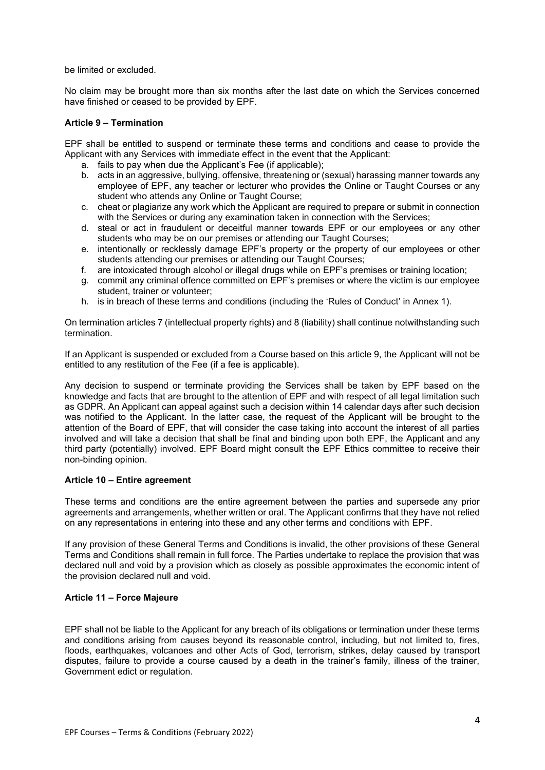be limited or excluded.

No claim may be brought more than six months after the last date on which the Services concerned have finished or ceased to be provided by EPF.

## **Article 9 – Termination**

EPF shall be entitled to suspend or terminate these terms and conditions and cease to provide the Applicant with any Services with immediate effect in the event that the Applicant:

- a. fails to pay when due the Applicant's Fee (if applicable);
- b. acts in an aggressive, bullying, offensive, threatening or (sexual) harassing manner towards any employee of EPF, any teacher or lecturer who provides the Online or Taught Courses or any student who attends any Online or Taught Course;
- c. cheat or plagiarize any work which the Applicant are required to prepare or submit in connection with the Services or during any examination taken in connection with the Services;
- d. steal or act in fraudulent or deceitful manner towards EPF or our employees or any other students who may be on our premises or attending our Taught Courses;
- e. intentionally or recklessly damage EPF's property or the property of our employees or other students attending our premises or attending our Taught Courses:
- f. are intoxicated through alcohol or illegal drugs while on EPF's premises or training location;
- g. commit any criminal offence committed on EPF's premises or where the victim is our employee student, trainer or volunteer;
- h. is in breach of these terms and conditions (including the 'Rules of Conduct' in Annex 1).

On termination articles 7 (intellectual property rights) and 8 (liability) shall continue notwithstanding such termination.

If an Applicant is suspended or excluded from a Course based on this article 9, the Applicant will not be entitled to any restitution of the Fee (if a fee is applicable).

Any decision to suspend or terminate providing the Services shall be taken by EPF based on the knowledge and facts that are brought to the attention of EPF and with respect of all legal limitation such as GDPR. An Applicant can appeal against such a decision within 14 calendar days after such decision was notified to the Applicant. In the latter case, the request of the Applicant will be brought to the attention of the Board of EPF, that will consider the case taking into account the interest of all parties involved and will take a decision that shall be final and binding upon both EPF, the Applicant and any third party (potentially) involved. EPF Board might consult the EPF Ethics committee to receive their non-binding opinion.

### **Article 10 – Entire agreement**

These terms and conditions are the entire agreement between the parties and supersede any prior agreements and arrangements, whether written or oral. The Applicant confirms that they have not relied on any representations in entering into these and any other terms and conditions with EPF.

If any provision of these General Terms and Conditions is invalid, the other provisions of these General Terms and Conditions shall remain in full force. The Parties undertake to replace the provision that was declared null and void by a provision which as closely as possible approximates the economic intent of the provision declared null and void.

## **Article 11 – Force Majeure**

EPF shall not be liable to the Applicant for any breach of its obligations or termination under these terms and conditions arising from causes beyond its reasonable control, including, but not limited to, fires, floods, earthquakes, volcanoes and other Acts of God, terrorism, strikes, delay caused by transport disputes, failure to provide a course caused by a death in the trainer's family, illness of the trainer, Government edict or regulation.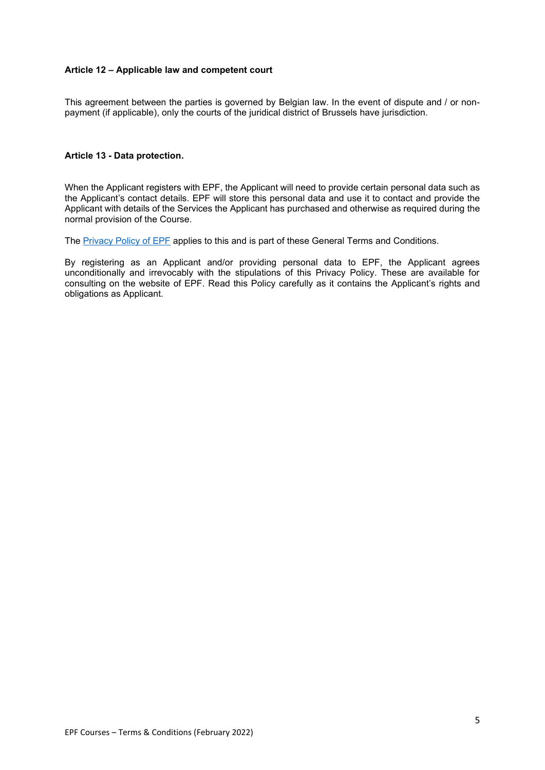## **Article 12 – Applicable law and competent court**

This agreement between the parties is governed by Belgian law. In the event of dispute and / or nonpayment (if applicable), only the courts of the juridical district of Brussels have jurisdiction.

## **Article 13 - Data protection.**

When the Applicant registers with EPF, the Applicant will need to provide certain personal data such as the Applicant's contact details. EPF will store this personal data and use it to contact and provide the Applicant with details of the Services the Applicant has purchased and otherwise as required during the normal provision of the Course.

The [Privacy Policy of EPF](https://www.eu-patient.eu/about-epf/epf-privacy-policy/) applies to this and is part of these General Terms and Conditions.

By registering as an Applicant and/or providing personal data to EPF, the Applicant agrees unconditionally and irrevocably with the stipulations of this Privacy Policy. These are available for consulting on the website of EPF. Read this Policy carefully as it contains the Applicant's rights and obligations as Applicant.